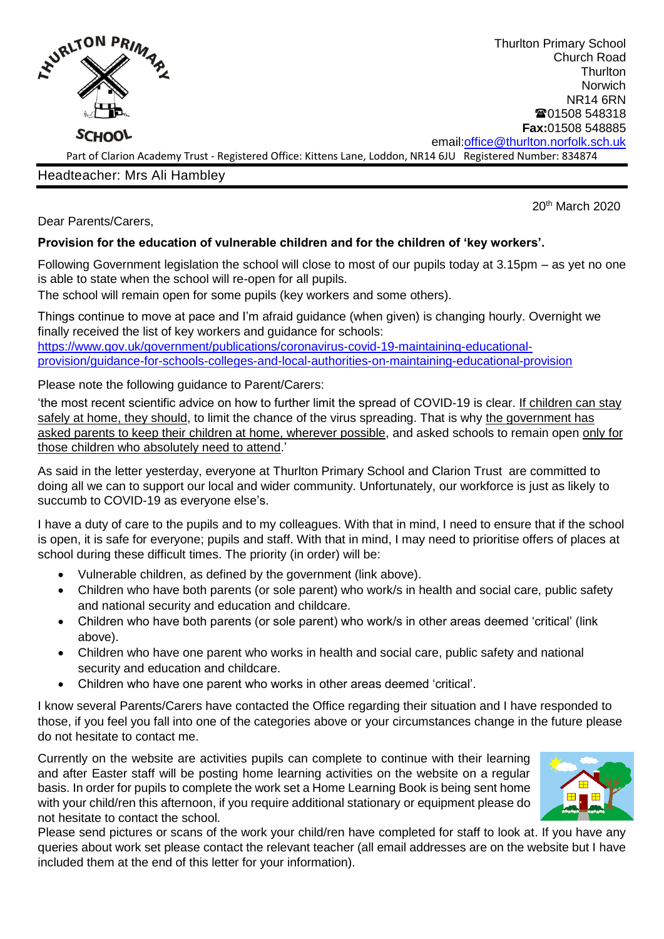

Thurlton Primary School Church Road **Thurlton Norwich** NR14 6RN **■01508 548318 Fax:**01508 548885 email[:office@thurlton.norfolk.sch.uk](mailto:office@thurlton.norfolk.sch.uk)

Part of Clarion Academy Trust - Registered Office: Kittens Lane, Loddon, NR14 6JU Registered Number: 834874

Headteacher: Mrs Ali Hambley

20th March 2020

Dear Parents/Carers,

## **Provision for the education of vulnerable children and for the children of 'key workers'.**

Following Government legislation the school will close to most of our pupils today at 3.15pm – as yet no one is able to state when the school will re-open for all pupils.

The school will remain open for some pupils (key workers and some others).

Things continue to move at pace and I'm afraid guidance (when given) is changing hourly. Overnight we finally received the list of key workers and guidance for schools: [https://www.gov.uk/government/publications/coronavirus-covid-19-maintaining-educational](https://www.gov.uk/government/publications/coronavirus-covid-19-maintaining-educational-provision/guidance-for-schools-colleges-and-local-authorities-on-maintaining-educational-provision)[provision/guidance-for-schools-colleges-and-local-authorities-on-maintaining-educational-provision](https://www.gov.uk/government/publications/coronavirus-covid-19-maintaining-educational-provision/guidance-for-schools-colleges-and-local-authorities-on-maintaining-educational-provision)

Please note the following guidance to Parent/Carers:

'the most recent scientific advice on how to further limit the spread of COVID-19 is clear. If children can stay safely at home, they should, to limit the chance of the virus spreading. That is why the government has asked parents to keep their children at home, wherever possible, and asked schools to remain open only for those children who absolutely need to attend.'

As said in the letter yesterday, everyone at Thurlton Primary School and Clarion Trust are committed to doing all we can to support our local and wider community. Unfortunately, our workforce is just as likely to succumb to COVID-19 as everyone else's.

I have a duty of care to the pupils and to my colleagues. With that in mind, I need to ensure that if the school is open, it is safe for everyone; pupils and staff. With that in mind, I may need to prioritise offers of places at school during these difficult times. The priority (in order) will be:

- Vulnerable children, as defined by the government (link above).
- Children who have both parents (or sole parent) who work/s in health and social care, public safety and national security and education and childcare.
- Children who have both parents (or sole parent) who work/s in other areas deemed 'critical' (link above).
- Children who have one parent who works in health and social care, public safety and national security and education and childcare.
- Children who have one parent who works in other areas deemed 'critical'.

I know several Parents/Carers have contacted the Office regarding their situation and I have responded to those, if you feel you fall into one of the categories above or your circumstances change in the future please do not hesitate to contact me.

Currently on the website are activities pupils can complete to continue with their learning and after Easter staff will be posting home learning activities on the website on a regular basis. In order for pupils to complete the work set a Home Learning Book is being sent home with your child/ren this afternoon, if you require additional stationary or equipment please do not hesitate to contact the school.



Please send pictures or scans of the work your child/ren have completed for staff to look at. If you have any queries about work set please contact the relevant teacher (all email addresses are on the website but I have included them at the end of this letter for your information).